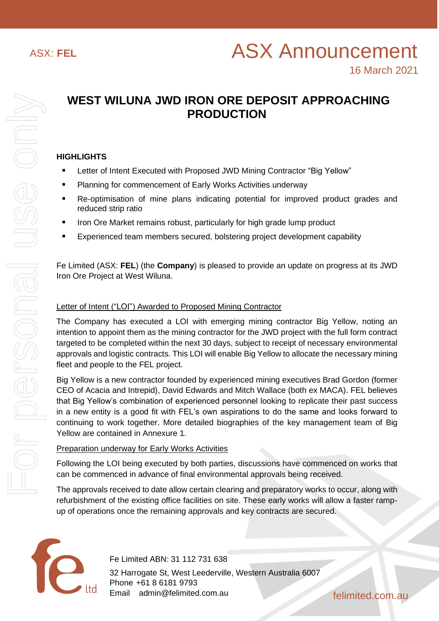# **WEST WILUNA JWD IRON ORE DEPOSIT APPROACHING PRODUCTION**

# **HIGHLIGHTS**

- Letter of Intent Executed with Proposed JWD Mining Contractor "Big Yellow"
- Planning for commencement of Early Works Activities underway
- Re-optimisation of mine plans indicating potential for improved product grades and reduced strip ratio
- Iron Ore Market remains robust, particularly for high grade lump product
- Experienced team members secured, bolstering project development capability

Fe Limited (ASX: **FEL**) (the **Company**) is pleased to provide an update on progress at its JWD Iron Ore Project at West Wiluna.

# Letter of Intent ("LOI") Awarded to Proposed Mining Contractor

The Company has executed a LOI with emerging mining contractor Big Yellow, noting an intention to appoint them as the mining contractor for the JWD project with the full form contract targeted to be completed within the next 30 days, subject to receipt of necessary environmental approvals and logistic contracts. This LOI will enable Big Yellow to allocate the necessary mining fleet and people to the FEL project.

Big Yellow is a new contractor founded by experienced mining executives Brad Gordon (former CEO of Acacia and Intrepid), David Edwards and Mitch Wallace (both ex MACA). FEL believes that Big Yellow's combination of experienced personnel looking to replicate their past success in a new entity is a good fit with FEL's own aspirations to do the same and looks forward to continuing to work together. More detailed biographies of the key management team of Big Yellow are contained in Annexure 1.

#### Preparation underway for Early Works Activities

Following the LOI being executed by both parties, discussions have commenced on works that can be commenced in advance of final environmental approvals being received.

The approvals received to date allow certain clearing and preparatory works to occur, along with refurbishment of the existing office facilities on site. These early works will allow a faster rampup of operations once the remaining approvals and key contracts are secured.



Fe Limited ABN: 31 112 731 638 32 Harrogate St, West Leederville, Western Australia 6007 Phone +61 8 6181 9793 Email admin@felimited.com.au felimited.com.au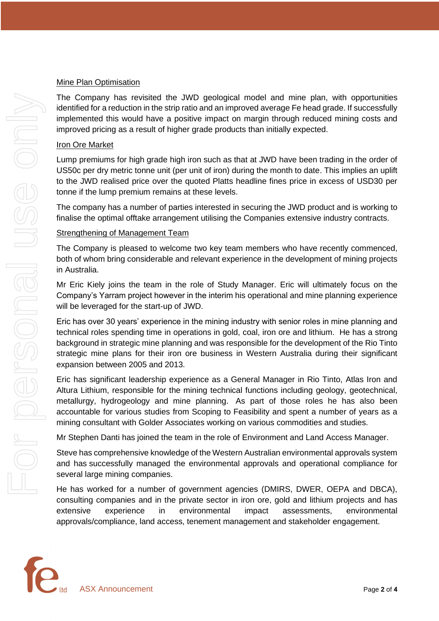#### Mine Plan Optimisation

The Company has revisited the JWD geological model and mine plan, with opportunities identified for a reduction in the strip ratio and an improved average Fe head grade. If successfully implemented this would have a positive impact on margin through reduced mining costs and improved pricing as a result of higher grade products than initially expected.

# Iron Ore Market

Lump premiums for high grade high iron such as that at JWD have been trading in the order of US50c per dry metric tonne unit (per unit of iron) during the month to date. This implies an uplift to the JWD realised price over the quoted Platts headline fines price in excess of USD30 per tonne if the lump premium remains at these levels.

The company has a number of parties interested in securing the JWD product and is working to finalise the optimal offtake arrangement utilising the Companies extensive industry contracts.

#### Strengthening of Management Team

The Company is pleased to welcome two key team members who have recently commenced, both of whom bring considerable and relevant experience in the development of mining projects in Australia.

Mr Eric Kiely joins the team in the role of Study Manager. Eric will ultimately focus on the Company's Yarram project however in the interim his operational and mine planning experience will be leveraged for the start-up of JWD.

Eric has over 30 years' experience in the mining industry with senior roles in mine planning and technical roles spending time in operations in gold, coal, iron ore and lithium. He has a strong background in strategic mine planning and was responsible for the development of the Rio Tinto strategic mine plans for their iron ore business in Western Australia during their significant expansion between 2005 and 2013.

Eric has significant leadership experience as a General Manager in Rio Tinto, Atlas Iron and Altura Lithium, responsible for the mining technical functions including geology, geotechnical, metallurgy, hydrogeology and mine planning. As part of those roles he has also been accountable for various studies from Scoping to Feasibility and spent a number of years as a mining consultant with Golder Associates working on various commodities and studies.

Mr Stephen Danti has joined the team in the role of Environment and Land Access Manager.

Steve has comprehensive knowledge of the Western Australian environmental approvals system and has successfully managed the environmental approvals and operational compliance for several large mining companies.

He has worked for a number of government agencies (DMIRS, DWER, OEPA and DBCA), consulting companies and in the private sector in iron ore, gold and lithium projects and has extensive experience in environmental impact assessments, environmental approvals/compliance, land access, tenement management and stakeholder engagement.

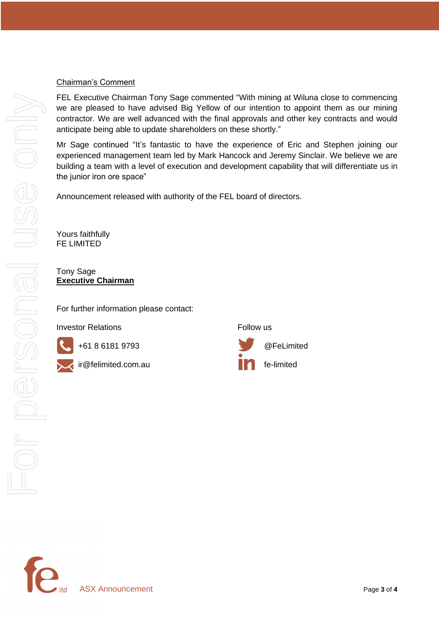#### Chairman's Comment

FEL Executive Chairman Tony Sage commented "With mining at Wiluna close to commencing we are pleased to have advised Big Yellow of our intention to appoint them as our mining contractor. We are well advanced with the final approvals and other key contracts and would anticipate being able to update shareholders on these shortly."

Mr Sage continued "It's fantastic to have the experience of Eric and Stephen joining our experienced management team led by Mark Hancock and Jeremy Sinclair. We believe we are building a team with a level of execution and development capability that will differentiate us in the junior iron ore space"

Announcement released with authority of the FEL board of directors.

Yours faithfully FE LIMITED

Tony Sage **Executive Chairman**

For further information please contact:

**Investor Relations Example 2 Follow** us



For personal use only For personal use only



+61 8 6181 9793 @FeLimited ir@felimited.com.au fe-limited